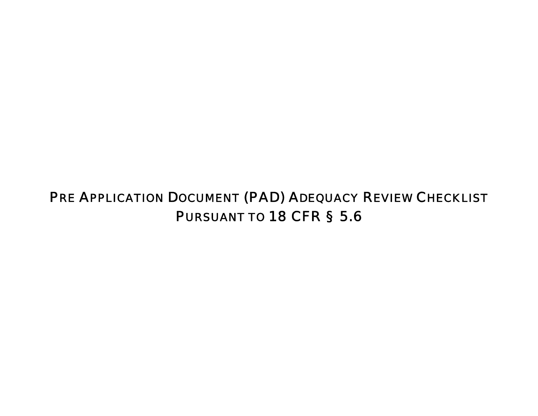## PRE APPLICATION DOCUMENT (PAD) ADEQUACY REVIEW CHECKLIST PURSUANT TO 18 CFR § 5.6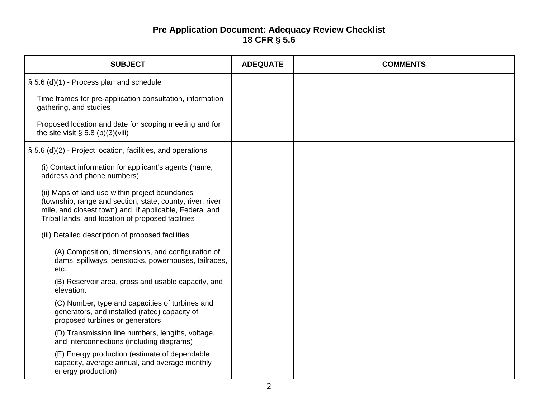## **Pre Application Document: Adequacy Review Checklist 18 CFR § 5.6**

| <b>SUBJECT</b>                                                                                                                                                                                                               | <b>ADEQUATE</b> | <b>COMMENTS</b> |
|------------------------------------------------------------------------------------------------------------------------------------------------------------------------------------------------------------------------------|-----------------|-----------------|
| § 5.6 (d)(1) - Process plan and schedule                                                                                                                                                                                     |                 |                 |
| Time frames for pre-application consultation, information<br>gathering, and studies                                                                                                                                          |                 |                 |
| Proposed location and date for scoping meeting and for<br>the site visit $\S$ 5.8 (b)(3)(viii)                                                                                                                               |                 |                 |
| § 5.6 (d)(2) - Project location, facilities, and operations                                                                                                                                                                  |                 |                 |
| (i) Contact information for applicant's agents (name,<br>address and phone numbers)                                                                                                                                          |                 |                 |
| (ii) Maps of land use within project boundaries<br>(township, range and section, state, county, river, river<br>mile, and closest town) and, if applicable, Federal and<br>Tribal lands, and location of proposed facilities |                 |                 |
| (iii) Detailed description of proposed facilities                                                                                                                                                                            |                 |                 |
| (A) Composition, dimensions, and configuration of<br>dams, spillways, penstocks, powerhouses, tailraces,<br>etc.                                                                                                             |                 |                 |
| (B) Reservoir area, gross and usable capacity, and<br>elevation.                                                                                                                                                             |                 |                 |
| (C) Number, type and capacities of turbines and<br>generators, and installed (rated) capacity of<br>proposed turbines or generators                                                                                          |                 |                 |
| (D) Transmission line numbers, lengths, voltage,<br>and interconnections (including diagrams)                                                                                                                                |                 |                 |
| (E) Energy production (estimate of dependable<br>capacity, average annual, and average monthly<br>energy production)                                                                                                         |                 |                 |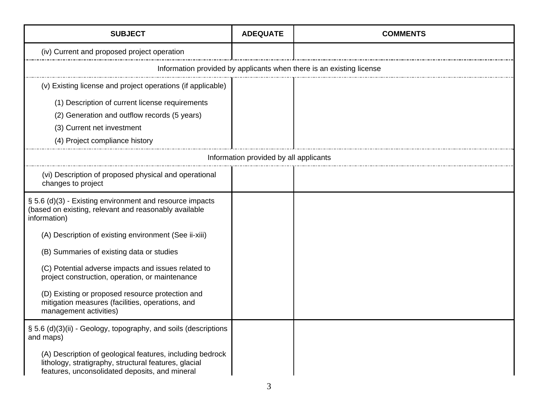| <b>SUBJECT</b>                                                                                                                                                       | <b>ADEQUATE</b> | <b>COMMENTS</b> |  |
|----------------------------------------------------------------------------------------------------------------------------------------------------------------------|-----------------|-----------------|--|
| (iv) Current and proposed project operation                                                                                                                          |                 |                 |  |
| Information provided by applicants when there is an existing license                                                                                                 |                 |                 |  |
| (v) Existing license and project operations (if applicable)                                                                                                          |                 |                 |  |
| (1) Description of current license requirements                                                                                                                      |                 |                 |  |
| (2) Generation and outflow records (5 years)                                                                                                                         |                 |                 |  |
| (3) Current net investment                                                                                                                                           |                 |                 |  |
| (4) Project compliance history                                                                                                                                       |                 |                 |  |
| Information provided by all applicants                                                                                                                               |                 |                 |  |
| (vi) Description of proposed physical and operational<br>changes to project                                                                                          |                 |                 |  |
| § 5.6 (d)(3) - Existing environment and resource impacts<br>(based on existing, relevant and reasonably available<br>information)                                    |                 |                 |  |
| (A) Description of existing environment (See ii-xiii)                                                                                                                |                 |                 |  |
| (B) Summaries of existing data or studies                                                                                                                            |                 |                 |  |
| (C) Potential adverse impacts and issues related to<br>project construction, operation, or maintenance                                                               |                 |                 |  |
| (D) Existing or proposed resource protection and<br>mitigation measures (facilities, operations, and<br>management activities)                                       |                 |                 |  |
| § 5.6 (d)(3)(ii) - Geology, topography, and soils (descriptions<br>and maps)                                                                                         |                 |                 |  |
| (A) Description of geological features, including bedrock<br>lithology, stratigraphy, structural features, glacial<br>features, unconsolidated deposits, and mineral |                 |                 |  |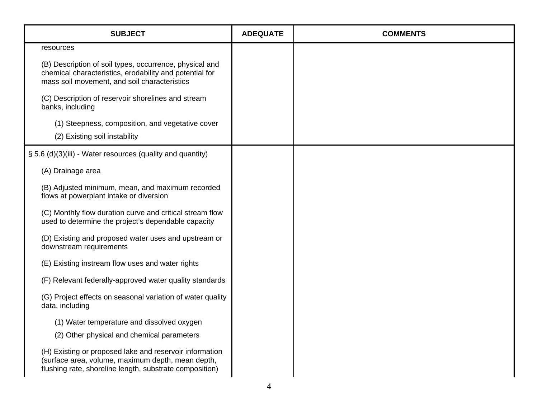| <b>SUBJECT</b>                                                                                                                                                          | <b>ADEQUATE</b> | <b>COMMENTS</b> |
|-------------------------------------------------------------------------------------------------------------------------------------------------------------------------|-----------------|-----------------|
| resources                                                                                                                                                               |                 |                 |
| (B) Description of soil types, occurrence, physical and<br>chemical characteristics, erodability and potential for<br>mass soil movement, and soil characteristics      |                 |                 |
| (C) Description of reservoir shorelines and stream<br>banks, including                                                                                                  |                 |                 |
| (1) Steepness, composition, and vegetative cover                                                                                                                        |                 |                 |
| (2) Existing soil instability                                                                                                                                           |                 |                 |
| § 5.6 (d)(3)(iii) - Water resources (quality and quantity)                                                                                                              |                 |                 |
| (A) Drainage area                                                                                                                                                       |                 |                 |
| (B) Adjusted minimum, mean, and maximum recorded<br>flows at powerplant intake or diversion                                                                             |                 |                 |
| (C) Monthly flow duration curve and critical stream flow<br>used to determine the project's dependable capacity                                                         |                 |                 |
| (D) Existing and proposed water uses and upstream or<br>downstream requirements                                                                                         |                 |                 |
| (E) Existing instream flow uses and water rights                                                                                                                        |                 |                 |
| (F) Relevant federally-approved water quality standards                                                                                                                 |                 |                 |
| (G) Project effects on seasonal variation of water quality<br>data, including                                                                                           |                 |                 |
| (1) Water temperature and dissolved oxygen                                                                                                                              |                 |                 |
| (2) Other physical and chemical parameters                                                                                                                              |                 |                 |
| (H) Existing or proposed lake and reservoir information<br>(surface area, volume, maximum depth, mean depth,<br>flushing rate, shoreline length, substrate composition) |                 |                 |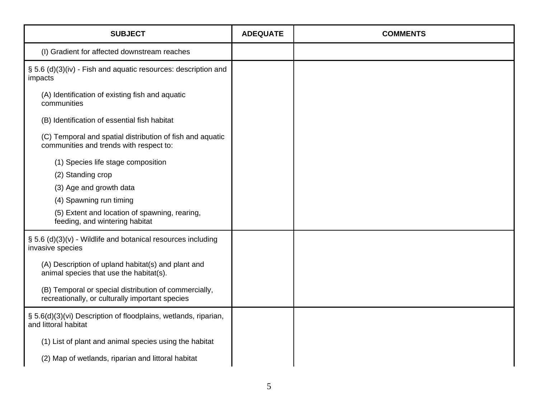| <b>SUBJECT</b>                                                                                           | <b>ADEQUATE</b> | <b>COMMENTS</b> |
|----------------------------------------------------------------------------------------------------------|-----------------|-----------------|
| (I) Gradient for affected downstream reaches                                                             |                 |                 |
| § 5.6 (d)(3)(iv) - Fish and aquatic resources: description and<br>impacts                                |                 |                 |
| (A) Identification of existing fish and aquatic<br>communities                                           |                 |                 |
| (B) Identification of essential fish habitat                                                             |                 |                 |
| (C) Temporal and spatial distribution of fish and aquatic<br>communities and trends with respect to:     |                 |                 |
| (1) Species life stage composition                                                                       |                 |                 |
| (2) Standing crop                                                                                        |                 |                 |
| (3) Age and growth data                                                                                  |                 |                 |
| (4) Spawning run timing                                                                                  |                 |                 |
| (5) Extent and location of spawning, rearing,<br>feeding, and wintering habitat                          |                 |                 |
| $\S$ 5.6 (d)(3)(v) - Wildlife and botanical resources including<br>invasive species                      |                 |                 |
| (A) Description of upland habitat(s) and plant and<br>animal species that use the habitat(s).            |                 |                 |
| (B) Temporal or special distribution of commercially,<br>recreationally, or culturally important species |                 |                 |
| § 5.6(d)(3)(vi) Description of floodplains, wetlands, riparian,<br>and littoral habitat                  |                 |                 |
| (1) List of plant and animal species using the habitat                                                   |                 |                 |
| (2) Map of wetlands, riparian and littoral habitat                                                       |                 |                 |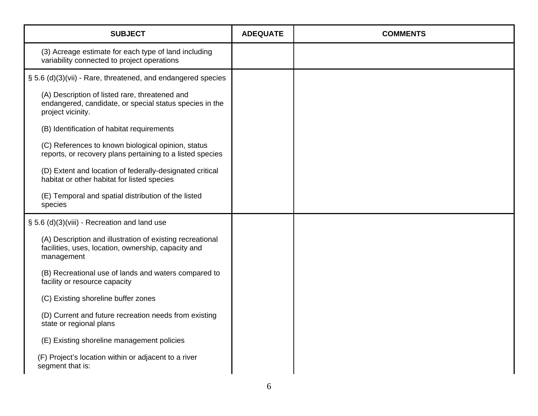| <b>SUBJECT</b>                                                                                                                 | <b>ADEQUATE</b> | <b>COMMENTS</b> |
|--------------------------------------------------------------------------------------------------------------------------------|-----------------|-----------------|
| (3) Acreage estimate for each type of land including<br>variability connected to project operations                            |                 |                 |
| § 5.6 (d)(3)(vii) - Rare, threatened, and endangered species                                                                   |                 |                 |
| (A) Description of listed rare, threatened and<br>endangered, candidate, or special status species in the<br>project vicinity. |                 |                 |
| (B) Identification of habitat requirements                                                                                     |                 |                 |
| (C) References to known biological opinion, status<br>reports, or recovery plans pertaining to a listed species                |                 |                 |
| (D) Extent and location of federally-designated critical<br>habitat or other habitat for listed species                        |                 |                 |
| (E) Temporal and spatial distribution of the listed<br>species                                                                 |                 |                 |
| § 5.6 (d)(3)(viii) - Recreation and land use                                                                                   |                 |                 |
| (A) Description and illustration of existing recreational<br>facilities, uses, location, ownership, capacity and<br>management |                 |                 |
| (B) Recreational use of lands and waters compared to<br>facility or resource capacity                                          |                 |                 |
| (C) Existing shoreline buffer zones                                                                                            |                 |                 |
| (D) Current and future recreation needs from existing<br>state or regional plans                                               |                 |                 |
| (E) Existing shoreline management policies                                                                                     |                 |                 |
| (F) Project's location within or adjacent to a river<br>segment that is:                                                       |                 |                 |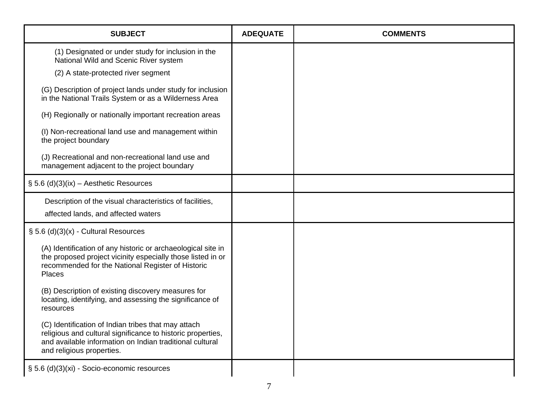| <b>SUBJECT</b>                                                                                                                                                                                              | <b>ADEQUATE</b> | <b>COMMENTS</b> |
|-------------------------------------------------------------------------------------------------------------------------------------------------------------------------------------------------------------|-----------------|-----------------|
| (1) Designated or under study for inclusion in the<br>National Wild and Scenic River system                                                                                                                 |                 |                 |
| (2) A state-protected river segment                                                                                                                                                                         |                 |                 |
| (G) Description of project lands under study for inclusion<br>in the National Trails System or as a Wilderness Area                                                                                         |                 |                 |
| (H) Regionally or nationally important recreation areas                                                                                                                                                     |                 |                 |
| (I) Non-recreational land use and management within<br>the project boundary                                                                                                                                 |                 |                 |
| (J) Recreational and non-recreational land use and<br>management adjacent to the project boundary                                                                                                           |                 |                 |
| § 5.6 (d)(3)(ix) - Aesthetic Resources                                                                                                                                                                      |                 |                 |
| Description of the visual characteristics of facilities,                                                                                                                                                    |                 |                 |
| affected lands, and affected waters                                                                                                                                                                         |                 |                 |
| $\S$ 5.6 (d)(3)(x) - Cultural Resources                                                                                                                                                                     |                 |                 |
| (A) Identification of any historic or archaeological site in<br>the proposed project vicinity especially those listed in or<br>recommended for the National Register of Historic<br>Places                  |                 |                 |
| (B) Description of existing discovery measures for<br>locating, identifying, and assessing the significance of<br>resources                                                                                 |                 |                 |
| (C) Identification of Indian tribes that may attach<br>religious and cultural significance to historic properties,<br>and available information on Indian traditional cultural<br>and religious properties. |                 |                 |
| § 5.6 (d)(3)(xi) - Socio-economic resources                                                                                                                                                                 |                 |                 |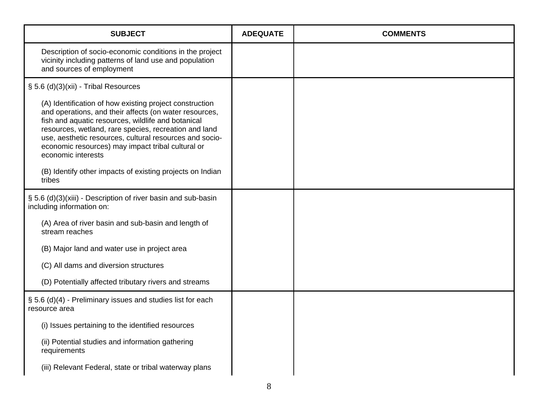| <b>SUBJECT</b>                                                                                                                                                                                                                                                                                                                                                         | <b>ADEQUATE</b> | <b>COMMENTS</b> |
|------------------------------------------------------------------------------------------------------------------------------------------------------------------------------------------------------------------------------------------------------------------------------------------------------------------------------------------------------------------------|-----------------|-----------------|
| Description of socio-economic conditions in the project<br>vicinity including patterns of land use and population<br>and sources of employment                                                                                                                                                                                                                         |                 |                 |
| § 5.6 (d)(3)(xii) - Tribal Resources                                                                                                                                                                                                                                                                                                                                   |                 |                 |
| (A) Identification of how existing project construction<br>and operations, and their affects (on water resources,<br>fish and aquatic resources, wildlife and botanical<br>resources, wetland, rare species, recreation and land<br>use, aesthetic resources, cultural resources and socio-<br>economic resources) may impact tribal cultural or<br>economic interests |                 |                 |
| (B) Identify other impacts of existing projects on Indian<br>tribes                                                                                                                                                                                                                                                                                                    |                 |                 |
| § 5.6 (d)(3)(xiii) - Description of river basin and sub-basin<br>including information on:                                                                                                                                                                                                                                                                             |                 |                 |
| (A) Area of river basin and sub-basin and length of<br>stream reaches                                                                                                                                                                                                                                                                                                  |                 |                 |
| (B) Major land and water use in project area                                                                                                                                                                                                                                                                                                                           |                 |                 |
| (C) All dams and diversion structures                                                                                                                                                                                                                                                                                                                                  |                 |                 |
| (D) Potentially affected tributary rivers and streams                                                                                                                                                                                                                                                                                                                  |                 |                 |
| § 5.6 (d)(4) - Preliminary issues and studies list for each<br>resource area                                                                                                                                                                                                                                                                                           |                 |                 |
| (i) Issues pertaining to the identified resources                                                                                                                                                                                                                                                                                                                      |                 |                 |
| (ii) Potential studies and information gathering<br>requirements                                                                                                                                                                                                                                                                                                       |                 |                 |
| (iii) Relevant Federal, state or tribal waterway plans                                                                                                                                                                                                                                                                                                                 |                 |                 |